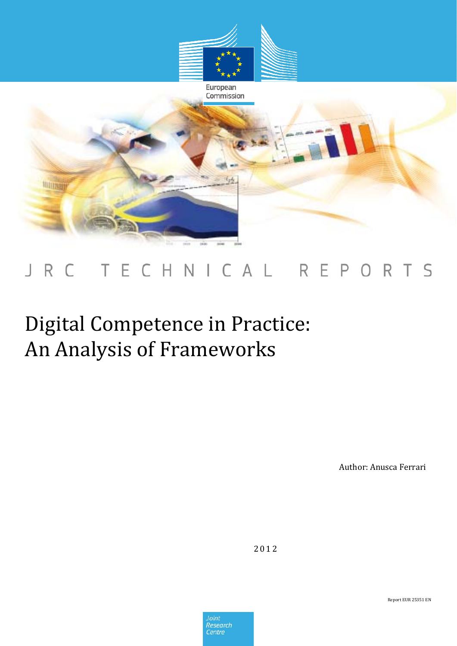

## TECHNICAL REPORTS J R C

## Digital Competence in Practice: An Analysis of Frameworks

Author: Anusca Ferrari

2012

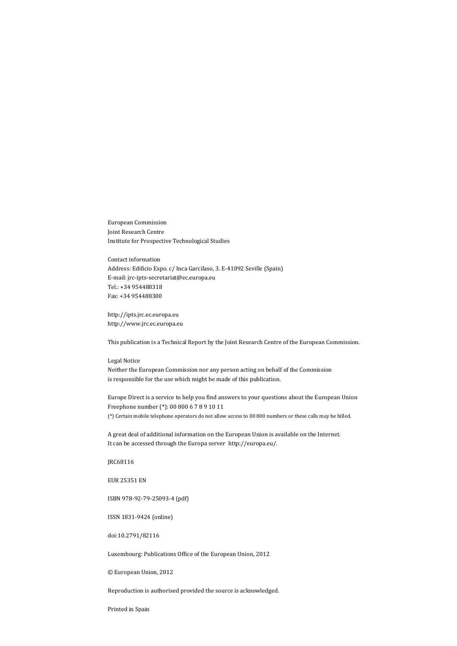European Commission Joint Research Centre Institute for Prospective Technological Studies

Contact information Address: Edificio Expo. c/ Inca Garcilaso, 3. E‐41092 Seville (Spain) E‐mail: jrc‐ipts‐secretariat@ec.europa.eu Tel.: +34 954488318 Fax: +34 954488300

http://ipts.jrc.ec.europa.eu http://www.jrc.ec.europa.eu

This publication is a Technical Report by the Joint Research Centre of the European Commission.

## Legal Notice

Neither the European Commission nor any person acting on behalf of the Commission is responsible for the use which might be made of this publication.

Europe Direct is a service to help you find answers to your questions about the European Union Freephone number (\*): 00 800 6 7 8 9 10 11 (\*) Certain mobile telephone operators do not allow access to 00 800 numbers or these calls may be billed.

A great deal of additional information on the European Union is available on the Internet. It can be accessed through the Europa server http://europa.eu/.

JRC68116

EUR 25351 EN

ISBN 978‐92‐79‐25093‐4 (pdf)

ISSN 1831‐9424 (online)

doi:10.2791/82116

Luxembourg: Publications Office of the European Union, 2012

© European Union, 2012

Reproduction is authorised provided the source is acknowledged.

Printed in Spain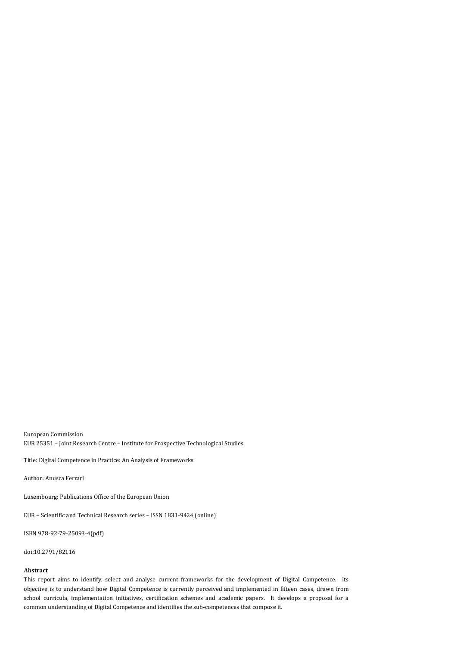European Commission EUR 25351 – Joint Research Centre – Institute for Prospective Technological Studies

Title: Digital Competence in Practice: An Analysis of Frameworks

Author: Anusca Ferrari

Luxembourg: Publications Office of the European Union

EUR – Scientific and Technical Research series – ISSN 1831‐9424 (online)

ISBN 978‐92‐79‐25093‐4(pdf)

doi:10.2791/82116

## **Abstract**

This report aims to identify, select and analyse current frameworks for the development of Digital Competence. Its objective is to understand how Digital Competence is currently perceived and implemented in fifteen cases, drawn from school curricula, implementation initiatives, certification schemes and academic papers. It develops a proposal for a common understanding of Digital Competence and identifies the sub‐competences that compose it.